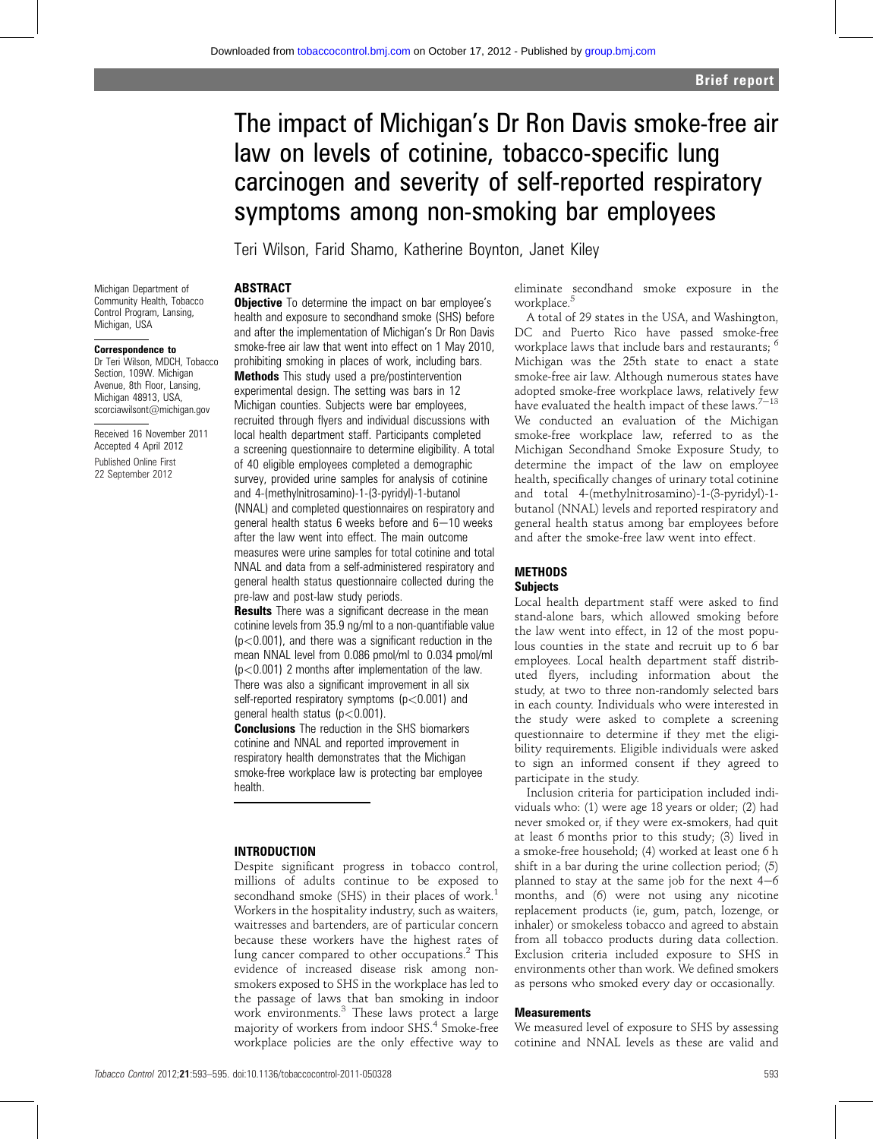# The impact of Michigan's Dr Ron Davis smoke-free air law on levels of cotinine, tobacco-specific lung carcinogen and severity of self-reported respiratory symptoms among non-smoking bar employees

Teri Wilson, Farid Shamo, Katherine Boynton, Janet Kiley

# Michigan Department of

Community Health, Tobacco Control Program, Lansing, Michigan, USA

#### Correspondence to

Dr Teri Wilson, MDCH, Tobacco Section, 109W. Michigan Avenue, 8th Floor, Lansing, Michigan 48913, USA, scorciawilsont@michigan.gov

Received 16 November 2011 Accepted 4 April 2012

Published Online First 22 September 2012

ABSTRACT **Objective** To determine the impact on bar employee's health and exposure to secondhand smoke (SHS) before and after the implementation of Michigan's Dr Ron Davis smoke-free air law that went into effect on 1 May 2010, prohibiting smoking in places of work, including bars. Methods This study used a pre/postintervention experimental design. The setting was bars in 12 Michigan counties. Subjects were bar employees, recruited through flyers and individual discussions with local health department staff. Participants completed a screening questionnaire to determine eligibility. A total of 40 eligible employees completed a demographic survey, provided urine samples for analysis of cotinine and 4-(methylnitrosamino)-1-(3-pyridyl)-1-butanol (NNAL) and completed questionnaires on respiratory and general health status 6 weeks before and  $6-10$  weeks after the law went into effect. The main outcome measures were urine samples for total cotinine and total NNAL and data from a self-administered respiratory and general health status questionnaire collected during the pre-law and post-law study periods.

**Results** There was a significant decrease in the mean cotinine levels from 35.9 ng/ml to a non-quantifiable value  $(p<0.001)$ , and there was a significant reduction in the mean NNAL level from 0.086 pmol/ml to 0.034 pmol/ml (p<0.001) 2 months after implementation of the law. There was also a significant improvement in all six self-reported respiratory symptoms (p<0.001) and general health status  $(p<0.001)$ .

**Conclusions** The reduction in the SHS biomarkers cotinine and NNAL and reported improvement in respiratory health demonstrates that the Michigan smoke-free workplace law is protecting bar employee health.

# INTRODUCTION

Despite significant progress in tobacco control, millions of adults continue to be exposed to secondhand smoke (SHS) in their places of work.<sup>1</sup> Workers in the hospitality industry, such as waiters, waitresses and bartenders, are of particular concern because these workers have the highest rates of lung cancer compared to other occupations.<sup>2</sup> This evidence of increased disease risk among nonsmokers exposed to SHS in the workplace has led to the passage of laws that ban smoking in indoor work environments.<sup>3</sup> These laws protect a large majority of workers from indoor SHS.<sup>4</sup> Smoke-free workplace policies are the only effective way to eliminate secondhand smoke exposure in the workplace.<sup>5</sup>

A total of 29 states in the USA, and Washington, DC and Puerto Rico have passed smoke-free workplace laws that include bars and restaurants; <sup>6</sup> Michigan was the 25th state to enact a state smoke-free air law. Although numerous states have adopted smoke-free workplace laws, relatively few have evaluated the health impact of these laws. $7-13$ We conducted an evaluation of the Michigan smoke-free workplace law, referred to as the Michigan Secondhand Smoke Exposure Study, to determine the impact of the law on employee health, specifically changes of urinary total cotinine and total 4-(methylnitrosamino)-1-(3-pyridyl)-1 butanol (NNAL) levels and reported respiratory and general health status among bar employees before and after the smoke-free law went into effect.

## **METHODS Subjects**

Local health department staff were asked to find stand-alone bars, which allowed smoking before the law went into effect, in 12 of the most populous counties in the state and recruit up to 6 bar employees. Local health department staff distributed flyers, including information about the study, at two to three non-randomly selected bars in each county. Individuals who were interested in the study were asked to complete a screening questionnaire to determine if they met the eligibility requirements. Eligible individuals were asked to sign an informed consent if they agreed to participate in the study.

Inclusion criteria for participation included individuals who: (1) were age 18 years or older; (2) had never smoked or, if they were ex-smokers, had quit at least 6 months prior to this study; (3) lived in a smoke-free household; (4) worked at least one 6 h shift in a bar during the urine collection period; (5) planned to stay at the same job for the next  $4-6$ months, and (6) were not using any nicotine replacement products (ie, gum, patch, lozenge, or inhaler) or smokeless tobacco and agreed to abstain from all tobacco products during data collection. Exclusion criteria included exposure to SHS in environments other than work. We defined smokers as persons who smoked every day or occasionally.

## **Measurements**

We measured level of exposure to SHS by assessing cotinine and NNAL levels as these are valid and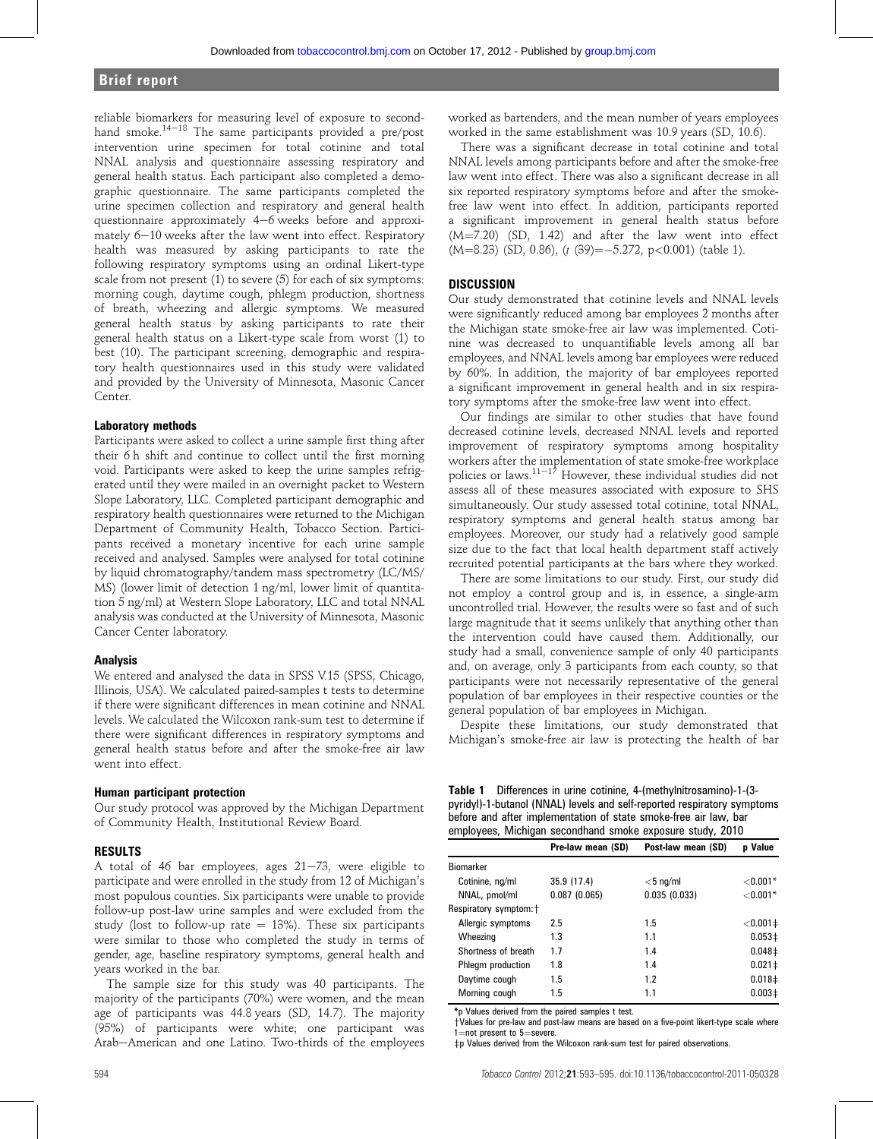# Brief report

reliable biomarkers for measuring level of exposure to secondhand smoke. $14-18$  The same participants provided a pre/post intervention urine specimen for total cotinine and total NNAL analysis and questionnaire assessing respiratory and general health status. Each participant also completed a demographic questionnaire. The same participants completed the urine specimen collection and respiratory and general health questionnaire approximately  $4-6$  weeks before and approximately  $6-10$  weeks after the law went into effect. Respiratory health was measured by asking participants to rate the following respiratory symptoms using an ordinal Likert-type scale from not present (1) to severe (5) for each of six symptoms: morning cough, daytime cough, phlegm production, shortness of breath, wheezing and allergic symptoms. We measured general health status by asking participants to rate their general health status on a Likert-type scale from worst (1) to best (10). The participant screening, demographic and respiratory health questionnaires used in this study were validated and provided by the University of Minnesota, Masonic Cancer Center.

#### Laboratory methods

Participants were asked to collect a urine sample first thing after their 6 h shift and continue to collect until the first morning void. Participants were asked to keep the urine samples refrigerated until they were mailed in an overnight packet to Western Slope Laboratory, LLC. Completed participant demographic and respiratory health questionnaires were returned to the Michigan Department of Community Health, Tobacco Section. Participants received a monetary incentive for each urine sample received and analysed. Samples were analysed for total cotinine by liquid chromatography/tandem mass spectrometry (LC/MS/ MS) (lower limit of detection 1 ng/ml, lower limit of quantitation 5 ng/ml) at Western Slope Laboratory, LLC and total NNAL analysis was conducted at the University of Minnesota, Masonic Cancer Center laboratory.

#### Analysis

We entered and analysed the data in SPSS V.15 (SPSS, Chicago, Illinois, USA). We calculated paired-samples t tests to determine if there were significant differences in mean cotinine and NNAL levels. We calculated the Wilcoxon rank-sum test to determine if there were significant differences in respiratory symptoms and general health status before and after the smoke-free air law went into effect.

## Human participant protection

Our study protocol was approved by the Michigan Department of Community Health, Institutional Review Board.

### RESULTS

A total of 46 bar employees, ages  $21-73$ , were eligible to participate and were enrolled in the study from 12 of Michigan's most populous counties. Six participants were unable to provide follow-up post-law urine samples and were excluded from the study (lost to follow-up rate  $= 13%$ ). These six participants were similar to those who completed the study in terms of gender, age, baseline respiratory symptoms, general health and years worked in the bar.

The sample size for this study was 40 participants. The majority of the participants (70%) were women, and the mean age of participants was 44.8 years (SD, 14.7). The majority (95%) of participants were white; one participant was Arab-American and one Latino. Two-thirds of the employees

worked as bartenders, and the mean number of years employees worked in the same establishment was 10.9 years (SD, 10.6).

There was a significant decrease in total cotinine and total NNAL levels among participants before and after the smoke-free law went into effect. There was also a significant decrease in all six reported respiratory symptoms before and after the smokefree law went into effect. In addition, participants reported a significant improvement in general health status before  $(M=7.20)$  (SD, 1.42) and after the law went into effect  $(M=8.23)$  (SD, 0.86), (t (39) = -5.272, p<0.001) (table 1).

## **DISCUSSION**

Our study demonstrated that cotinine levels and NNAL levels were significantly reduced among bar employees 2 months after the Michigan state smoke-free air law was implemented. Cotinine was decreased to unquantifiable levels among all bar employees, and NNAL levels among bar employees were reduced by 60%. In addition, the majority of bar employees reported a significant improvement in general health and in six respiratory symptoms after the smoke-free law went into effect.

Our findings are similar to other studies that have found decreased cotinine levels, decreased NNAL levels and reported improvement of respiratory symptoms among hospitality workers after the implementation of state smoke-free workplace policies or laws.<sup>11-17</sup> However, these individual studies did not assess all of these measures associated with exposure to SHS simultaneously. Our study assessed total cotinine, total NNAL, respiratory symptoms and general health status among bar employees. Moreover, our study had a relatively good sample size due to the fact that local health department staff actively recruited potential participants at the bars where they worked.

There are some limitations to our study. First, our study did not employ a control group and is, in essence, a single-arm uncontrolled trial. However, the results were so fast and of such large magnitude that it seems unlikely that anything other than the intervention could have caused them. Additionally, our study had a small, convenience sample of only 40 participants and, on average, only 3 participants from each county, so that participants were not necessarily representative of the general population of bar employees in their respective counties or the general population of bar employees in Michigan.

Despite these limitations, our study demonstrated that Michigan's smoke-free air law is protecting the health of bar

Table 1 Differences in urine cotinine, 4-(methylnitrosamino)-1-(3 pyridyl)-1-butanol (NNAL) levels and self-reported respiratory symptoms before and after implementation of state smoke-free air law, bar employees, Michigan secondhand smoke exposure study, 2010

|                        | Pre-law mean (SD) | Post-law mean (SD) | <b>p</b> Value     |
|------------------------|-------------------|--------------------|--------------------|
| <b>Biomarker</b>       |                   |                    |                    |
| Cotinine, ng/ml        | 35.9 (17.4)       | $<$ 5 ng/ml        | ${<}0.001*$        |
| NNAL, pmol/ml          | 0.087(0.065)      | 0.035(0.033)       | ${<}0.001*$        |
| Respiratory symptom: + |                   |                    |                    |
| Allergic symptoms      | 2.5               | 1.5                | $< 0.001 \pm$      |
| Wheezing               | 1.3               | 1.1                | 0.053 <sup>‡</sup> |
| Shortness of breath    | 1.7               | 1.4                | $0.048 \pm$        |
| Phlegm production      | 1.8               | 1.4                | $0.021 \pm$        |
| Daytime cough          | 1.5               | 1.2                | $0.018 \pm$        |
| Morning cough          | 1.5               | 1.1                | 0.003 <sup>‡</sup> |
|                        |                   |                    |                    |

\*p Values derived from the paired samples t test.

+Values for pre-law and post-law means are based on a five-point likert-type scale where  $1$ =not present to 5=severe.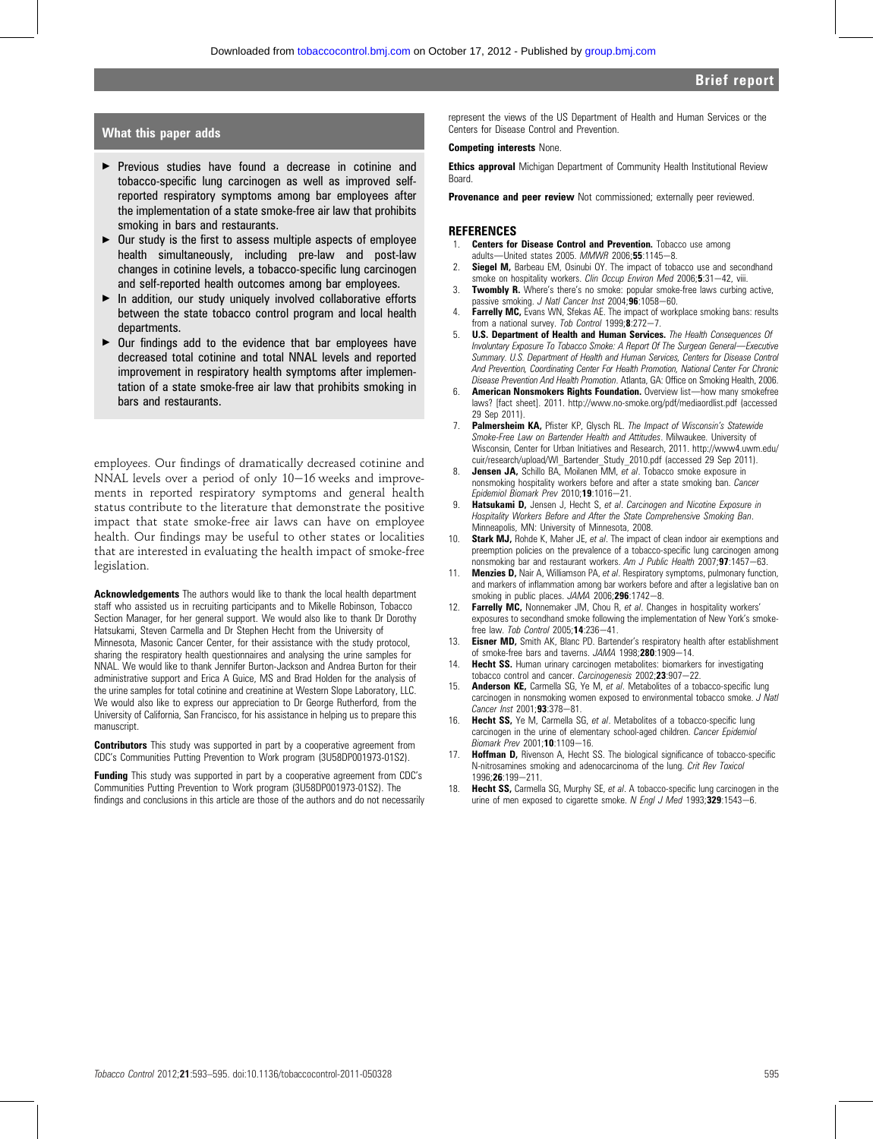## What this paper adds

- Previous studies have found a decrease in cotinine and tobacco-specific lung carcinogen as well as improved selfreported respiratory symptoms among bar employees after the implementation of a state smoke-free air law that prohibits smoking in bars and restaurants.
- $\triangleright$  Our study is the first to assess multiple aspects of employee health simultaneously, including pre-law and post-law changes in cotinine levels, a tobacco-specific lung carcinogen and self-reported health outcomes among bar employees.
- $\blacktriangleright$  In addition, our study uniquely involved collaborative efforts between the state tobacco control program and local health departments.
- $\triangleright$  Our findings add to the evidence that bar employees have decreased total cotinine and total NNAL levels and reported improvement in respiratory health symptoms after implementation of a state smoke-free air law that prohibits smoking in bars and restaurants.

employees. Our findings of dramatically decreased cotinine and NNAL levels over a period of only  $10-16$  weeks and improvements in reported respiratory symptoms and general health status contribute to the literature that demonstrate the positive impact that state smoke-free air laws can have on employee health. Our findings may be useful to other states or localities that are interested in evaluating the health impact of smoke-free legislation.

Acknowledgements The authors would like to thank the local health department staff who assisted us in recruiting participants and to Mikelle Robinson, Tobacco Section Manager, for her general support. We would also like to thank Dr Dorothy Hatsukami, Steven Carmella and Dr Stephen Hecht from the University of Minnesota, Masonic Cancer Center, for their assistance with the study protocol, sharing the respiratory health questionnaires and analysing the urine samples for NNAL. We would like to thank Jennifer Burton-Jackson and Andrea Burton for their administrative support and Erica A Guice, MS and Brad Holden for the analysis of the urine samples for total cotinine and creatinine at Western Slope Laboratory, LLC. We would also like to express our appreciation to Dr George Rutherford, from the University of California, San Francisco, for his assistance in helping us to prepare this manuscript.

**Contributors** This study was supported in part by a cooperative agreement from CDC's Communities Putting Prevention to Work program (3U58DP001973-01S2).

Funding This study was supported in part by a cooperative agreement from CDC's Communities Putting Prevention to Work program (3U58DP001973-01S2). The findings and conclusions in this article are those of the authors and do not necessarily represent the views of the US Department of Health and Human Services or the Centers for Disease Control and Prevention.

#### Competing interests None.

**Ethics approval** Michigan Department of Community Health Institutional Review **Board** 

Provenance and peer review Not commissioned; externally peer reviewed.

#### **REFERENCES**

- 1. **Centers for Disease Control and Prevention.** Tobacco use among adults-United states 2005. MMWR 2006;55:1145-8.
- 2. **Siegel M,** Barbeau EM, Osinubi OY. The impact of tobacco use and secondhand smoke on hospitality workers. Clin Occup Environ Med 2006;5:31-42, viii.
- **Twombly R.** Where's there's no smoke: popular smoke-free laws curbing active, passive smoking. J Natl Cancer Inst 2004;96:1058-60.
- 4. Farrelly MC, Evans WN, Sfekas AE. The impact of workplace smoking bans: results from a national survey. Tob Control  $1999;8:272-7$ .
- 5. **U.S. Department of Health and Human Services.** The Health Consequences Of Involuntary Exposure To Tobacco Smoke: A Report Of The Surgeon General-Executive Summary. U.S. Department of Health and Human Services, Centers for Disease Control And Prevention, Coordinating Center For Health Promotion, National Center For Chronic Disease Prevention And Health Promotion. Atlanta, GA: Office on Smoking Health, 2006.
- American Nonsmokers Rights Foundation. Overview list-how many smokefree laws? [fact sheet]. 2011. http://www.no-smoke.org/pdf/mediaordlist.pdf (accessed 29 Sep 2011).
- 7. Palmersheim KA, Pfister KP, Glysch RL. The Impact of Wisconsin's Statewide Smoke-Free Law on Bartender Health and Attitudes. Milwaukee. University of Wisconsin, Center for Urban Initiatives and Research, 2011. http://www4.uwm.edu/ cuir/research/upload/WI\_Bartender\_Study\_2010.pdf (accessed 29 Sep 2011).
- **Jensen JA,** Schillo BA, Moilanen MM, et al. Tobacco smoke exposure in nonsmoking hospitality workers before and after a state smoking ban. Cancer Epidemiol Biomark Prev 2010;19:1016-21.
- 9. Hatsukami D, Jensen J, Hecht S, et al. Carcinogen and Nicotine Exposure in Hospitality Workers Before and After the State Comprehensive Smoking Ban. Minneapolis, MN: University of Minnesota, 2008.
- 10. **Stark MJ,** Rohde K, Maher JE, et al. The impact of clean indoor air exemptions and preemption policies on the prevalence of a tobacco-specific lung carcinogen among nonsmoking bar and restaurant workers. Am J Public Health  $2007,97:1457-63$ .
- 11. **Menzies D,** Nair A, Williamson PA, et al. Respiratory symptoms, pulmonary function, and markers of inflammation among bar workers before and after a legislative ban on smoking in public places. JAMA 2006;296:1742-8.
- 12. Farrelly MC, Nonnemaker JM, Chou R, et al. Changes in hospitality workers' exposures to secondhand smoke following the implementation of New York's smokefree law. Tob Control 2005; $14:236-41$ .
- 13. Eisner MD, Smith AK, Blanc PD. Bartender's respiratory health after establishment of smoke-free bars and taverns.  $JAMA$  1998; $280:1909-14$ .
- 14. Hecht SS. Human urinary carcinogen metabolites: biomarkers for investigating tobacco control and cancer. Carcinogenesis  $2002;23:907-22$ .
- 15. **Anderson KE,** Carmella SG, Ye M, et al. Metabolites of a tobacco-specific lung carcinogen in nonsmoking women exposed to environmental tobacco smoke. J Natl  $Cancer$  Inst 2001; $93:378-81$ .
- 16. Hecht SS, Ye M, Carmella SG, et al. Metabolites of a tobacco-specific lung carcinogen in the urine of elementary school-aged children. Cancer Epidemiol Biomark Prev 2001;10:1109-16.
- 17. Hoffman D, Rivenson A, Hecht SS. The biological significance of tobacco-specific N-nitrosamines smoking and adenocarcinoma of the lung. Crit Rev Toxicol 1996:26:199-211.
- 18. **Hecht SS,** Carmella SG, Murphy SE, et al. A tobacco-specific lung carcinogen in the urine of men exposed to cigarette smoke. N Engl J Med 1993;329:1543-6.